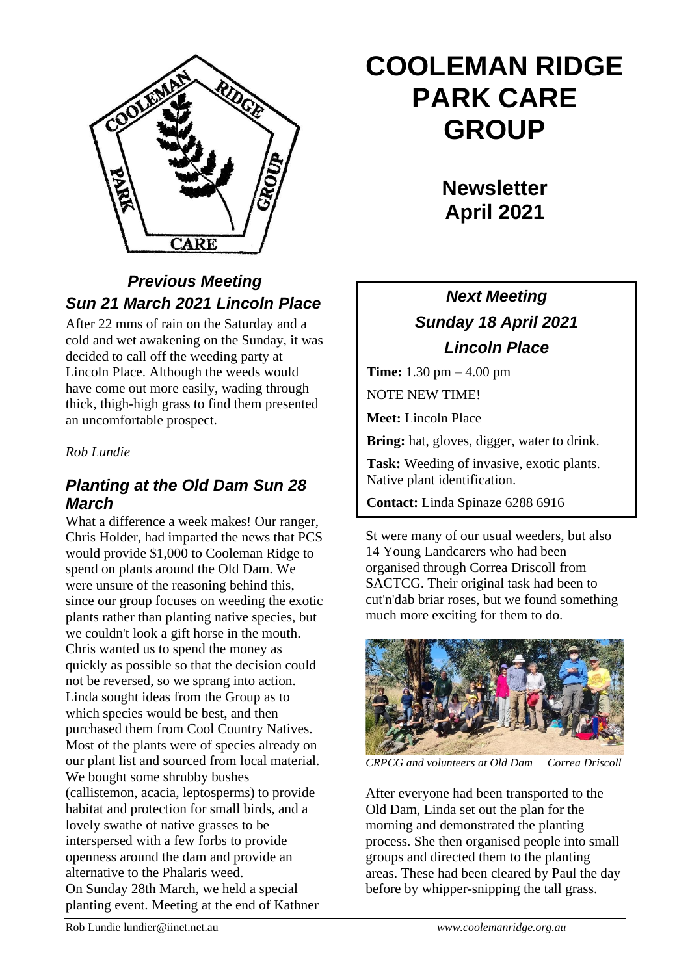

## *Previous Meeting Sun 21 March 2021 Lincoln Place*

After 22 mms of rain on the Saturday and a cold and wet awakening on the Sunday, it was decided to call off the weeding party at Lincoln Place. Although the weeds would have come out more easily, wading through thick, thigh-high grass to find them presented an uncomfortable prospect.

#### *Rob Lundie*

### *Planting at the Old Dam Sun 28 March*

What a difference a week makes! Our ranger, Chris Holder, had imparted the news that PCS would provide \$1,000 to Cooleman Ridge to spend on plants around the Old Dam. We were unsure of the reasoning behind this, since our group focuses on weeding the exotic plants rather than planting native species, but we couldn't look a gift horse in the mouth. Chris wanted us to spend the money as quickly as possible so that the decision could not be reversed, so we sprang into action. Linda sought ideas from the Group as to which species would be best, and then purchased them from Cool Country Natives. Most of the plants were of species already on our plant list and sourced from local material. We bought some shrubby bushes (callistemon, acacia, leptosperms) to provide habitat and protection for small birds, and a lovely swathe of native grasses to be interspersed with a few forbs to provide openness around the dam and provide an alternative to the Phalaris weed. On Sunday 28th March, we held a special planting event. Meeting at the end of Kathner

# **COOLEMAN RIDGE PARK CARE GROUP**

**Newsletter April 2021** 

## *Next Meeting Sunday 18 April 2021 Lincoln Place*

**Time:** 1.30 pm – 4.00 pm NOTE NEW TIME!

**Meet:** Lincoln Place

**Bring:** hat, gloves, digger, water to drink.

**Task:** Weeding of invasive, exotic plants. Native plant identification.

**Contact:** Linda Spinaze 6288 6916

St were many of our usual weeders, but also 14 Young Landcarers who had been organised through Correa Driscoll from SACTCG. Their original task had been to cut'n'dab briar roses, but we found something much more exciting for them to do.  $\mathcal{S}'$  meeting: Sun 16,  $\mathcal{S}'$  are  $\mathcal{S}'$  and  $\mathcal{S}'$ 



*CRPCG and volunteers at Old Dam Correa Driscoll*

After everyone had been transported to the Old Dam, Linda set out the plan for the morning and demonstrated the planting process. She then organised people into small groups and directed them to the planting areas. These had been cleared by Paul the day before by whipper-snipping the tall grass.